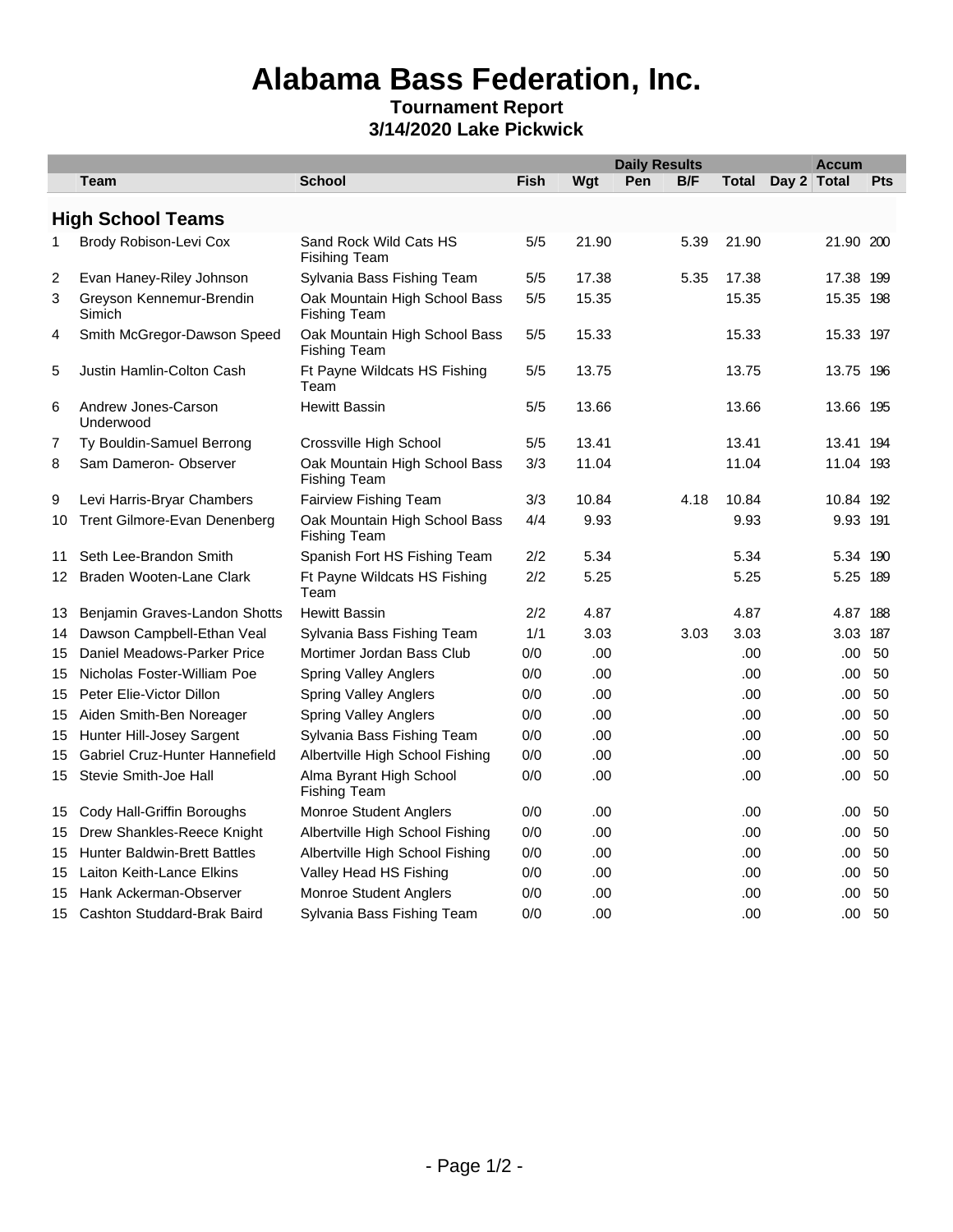## **Alabama Bass Federation, Inc.**

## **Tournament Report 3/14/2020 Lake Pickwick**

|                  |                                     |                                                      |             | <b>Daily Results</b><br><b>Accum</b> |     |            |       |             |     |  |
|------------------|-------------------------------------|------------------------------------------------------|-------------|--------------------------------------|-----|------------|-------|-------------|-----|--|
|                  | <b>Team</b>                         | <b>School</b>                                        | <b>Fish</b> | Wgt                                  | Pen | <b>B/F</b> | Total | Day 2 Total | Pts |  |
|                  | <b>High School Teams</b>            |                                                      |             |                                      |     |            |       |             |     |  |
| 1                | Brody Robison-Levi Cox              | Sand Rock Wild Cats HS<br><b>Fisihing Team</b>       | $5/5$       | 21.90                                |     | 5.39       | 21.90 | 21.90 200   |     |  |
| 2                | Evan Haney-Riley Johnson            | Sylvania Bass Fishing Team                           | 5/5         | 17.38                                |     | 5.35       | 17.38 | 17.38 199   |     |  |
| 3                | Greyson Kennemur-Brendin<br>Simich  | Oak Mountain High School Bass<br>Fishing Team        | 5/5         | 15.35                                |     |            | 15.35 | 15.35 198   |     |  |
| 4                | Smith McGregor-Dawson Speed         | Oak Mountain High School Bass<br>Fishing Team        | 5/5         | 15.33                                |     |            | 15.33 | 15.33 197   |     |  |
| 5                | Justin Hamlin-Colton Cash           | Ft Payne Wildcats HS Fishing<br>Team                 | 5/5         | 13.75                                |     |            | 13.75 | 13.75 196   |     |  |
| 6                | Andrew Jones-Carson<br>Underwood    | <b>Hewitt Bassin</b>                                 | $5/5$       | 13.66                                |     |            | 13.66 | 13.66 195   |     |  |
| 7                | Ty Bouldin-Samuel Berrong           | Crossville High School                               | 5/5         | 13.41                                |     |            | 13.41 | 13.41 194   |     |  |
| 8                | Sam Dameron- Observer               | Oak Mountain High School Bass<br><b>Fishing Team</b> | 3/3         | 11.04                                |     |            | 11.04 | 11.04 193   |     |  |
| 9                | Levi Harris-Bryar Chambers          | Fairview Fishing Team                                | 3/3         | 10.84                                |     | 4.18       | 10.84 | 10.84 192   |     |  |
| 10               | Trent Gilmore-Evan Denenberg        | Oak Mountain High School Bass<br><b>Fishing Team</b> | 4/4         | 9.93                                 |     |            | 9.93  | 9.93 191    |     |  |
| 11               | Seth Lee-Brandon Smith              | Spanish Fort HS Fishing Team                         | 2/2         | 5.34                                 |     |            | 5.34  | 5.34 190    |     |  |
| 12 <sup>12</sup> | Braden Wooten-Lane Clark            | Ft Payne Wildcats HS Fishing<br>Team                 | 2/2         | 5.25                                 |     |            | 5.25  | 5.25 189    |     |  |
| 13               | Benjamin Graves-Landon Shotts       | <b>Hewitt Bassin</b>                                 | 2/2         | 4.87                                 |     |            | 4.87  | 4.87 188    |     |  |
| 14               | Dawson Campbell-Ethan Veal          | Sylvania Bass Fishing Team                           | 1/1         | 3.03                                 |     | 3.03       | 3.03  | 3.03 187    |     |  |
| 15               | Daniel Meadows-Parker Price         | Mortimer Jordan Bass Club                            | 0/0         | .00                                  |     |            | .00   | .00         | 50  |  |
| 15               | Nicholas Foster-William Poe         | Spring Valley Anglers                                | 0/0         | .00                                  |     |            | .00.  | .00         | 50  |  |
| 15               | Peter Elie-Victor Dillon            | <b>Spring Valley Anglers</b>                         | 0/0         | .00                                  |     |            | .00.  | .00         | 50  |  |
| 15               | Aiden Smith-Ben Noreager            | <b>Spring Valley Anglers</b>                         | 0/0         | .00                                  |     |            | .00   | .00         | 50  |  |
| 15               | Hunter Hill-Josey Sargent           | Sylvania Bass Fishing Team                           | 0/0         | .00                                  |     |            | .00   | .00         | 50  |  |
| 15               | Gabriel Cruz-Hunter Hannefield      | Albertville High School Fishing                      | 0/0         | .00                                  |     |            | .00.  | .00         | 50  |  |
| 15               | Stevie Smith-Joe Hall               | Alma Byrant High School<br><b>Fishing Team</b>       | 0/0         | .00                                  |     |            | .00.  | .00.        | 50  |  |
| 15               | Cody Hall-Griffin Boroughs          | Monroe Student Anglers                               | 0/0         | .00                                  |     |            | .00   | .00         | 50  |  |
| 15               | Drew Shankles-Reece Knight          | Albertville High School Fishing                      | 0/0         | .00                                  |     |            | .00.  | .00         | 50  |  |
| 15               | <b>Hunter Baldwin-Brett Battles</b> | Albertville High School Fishing                      | 0/0         | .00                                  |     |            | .00   | .00.        | 50  |  |
| 15               | Laiton Keith-Lance Elkins           | Valley Head HS Fishing                               | 0/0         | .00                                  |     |            | .00   | .00         | 50  |  |
| 15               | Hank Ackerman-Observer              | Monroe Student Anglers                               | 0/0         | .00                                  |     |            | .00   | .00         | 50  |  |
|                  | 15 Cashton Studdard-Brak Baird      | Sylvania Bass Fishing Team                           | 0/0         | .00                                  |     |            | .00   | .00.        | 50  |  |